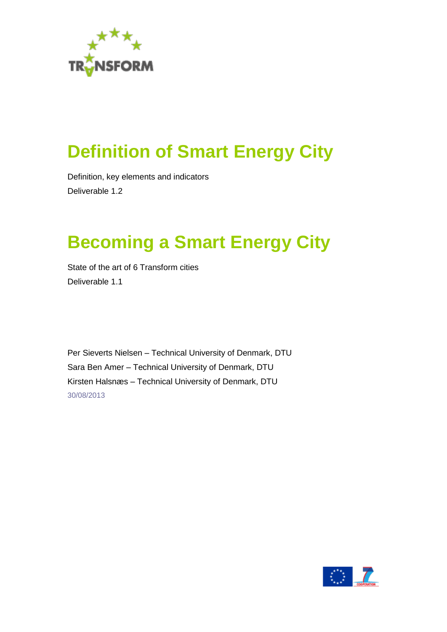

# <span id="page-0-0"></span>**Definition of Smart Energy City**

Definition, key elements and indicators Deliverable 1.2

# **Becoming a Smart Energy City**

State of the art of 6 Transform cities Deliverable 1.1

Per Sieverts Nielsen – Technical University of Denmark, DTU Sara Ben Amer – Technical University of Denmark, DTU Kirsten Halsnæs – Technical University of Denmark, DTU 30/08/2013

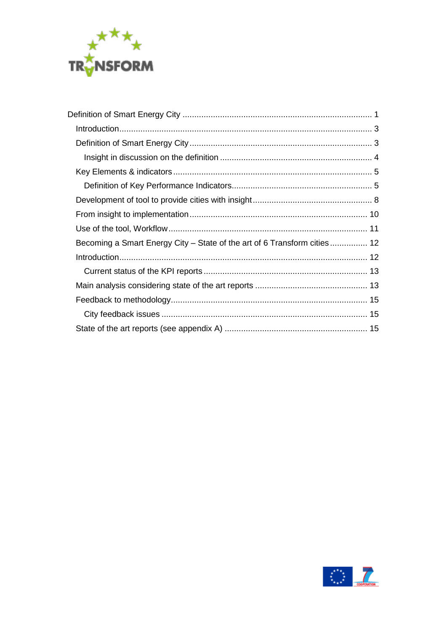

| Becoming a Smart Energy City – State of the art of 6 Transform cities 12 |  |
|--------------------------------------------------------------------------|--|
|                                                                          |  |
|                                                                          |  |
|                                                                          |  |
|                                                                          |  |
|                                                                          |  |
|                                                                          |  |

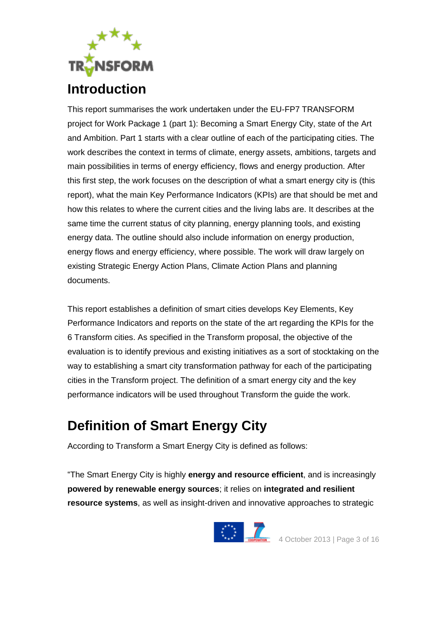

<span id="page-2-0"></span>This report summarises the work undertaken under the EU-FP7 TRANSFORM project for Work Package 1 (part 1): Becoming a Smart Energy City, state of the Art and Ambition. Part 1 starts with a clear outline of each of the participating cities. The work describes the context in terms of climate, energy assets, ambitions, targets and main possibilities in terms of energy efficiency, flows and energy production. After this first step, the work focuses on the description of what a smart energy city is (this report), what the main Key Performance Indicators (KPIs) are that should be met and how this relates to where the current cities and the living labs are. It describes at the same time the current status of city planning, energy planning tools, and existing energy data. The outline should also include information on energy production, energy flows and energy efficiency, where possible. The work will draw largely on existing Strategic Energy Action Plans, Climate Action Plans and planning documents.

This report establishes a definition of smart cities develops Key Elements, Key Performance Indicators and reports on the state of the art regarding the KPIs for the 6 Transform cities. As specified in the Transform proposal, the objective of the evaluation is to identify previous and existing initiatives as a sort of stocktaking on the way to establishing a smart city transformation pathway for each of the participating cities in the Transform project. The definition of a smart energy city and the key performance indicators will be used throughout Transform the guide the work.

## <span id="page-2-1"></span>**Definition of Smart Energy City**

According to Transform a Smart Energy City is defined as follows:

"The Smart Energy City is highly **energy and resource efficient**, and is increasingly **powered by renewable energy sources**; it relies on **integrated and resilient resource systems**, as well as insight-driven and innovative approaches to strategic

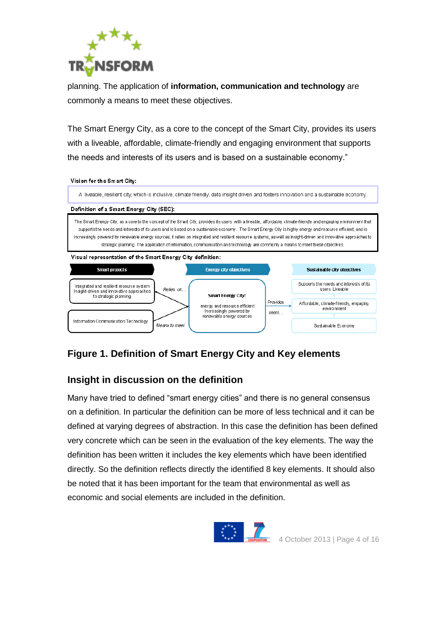

planning. The application of **information, communication and technology** are commonly a means to meet these objectives.

The Smart Energy City, as a core to the concept of the Smart City, provides its users with a liveable, affordable, climate-friendly and engaging environment that supports the needs and interests of its users and is based on a sustainable economy."

#### Vision for the Sm art City:

A liveable, resilient city, which is inclusive, climate friendly, data insight driven and fosters innovation and a sustainable economy.

#### Definition of a Smart Energy City (SEC):

The Smart Energy City, as a core to the concept of the Smart City, provides its users with a liveable, affordable, climate-friendly and engaging environment that supports the needs and interests of its users and is based on a sustainable economy. The Smart Energy City is highly energy and resource efficient, and is increasingly powered by renewable energy sources: it relies on integrated and resilient resource systems, as well as insight-driven and innovative approaches to strategic planning. The application of information, communication and technology are commonly a means to meet these objectives

#### Visual representation of the Smart Energy City definition:



#### **Figure 1. Definition of Smart Energy City and Key elements**

#### <span id="page-3-0"></span>**Insight in discussion on the definition**

Many have tried to defined "smart energy cities" and there is no general consensus on a definition. In particular the definition can be more of less technical and it can be defined at varying degrees of abstraction. In this case the definition has been defined very concrete which can be seen in the evaluation of the key elements. The way the definition has been written it includes the key elements which have been identified directly. So the definition reflects directly the identified 8 key elements. It should also be noted that it has been important for the team that environmental as well as economic and social elements are included in the definition.

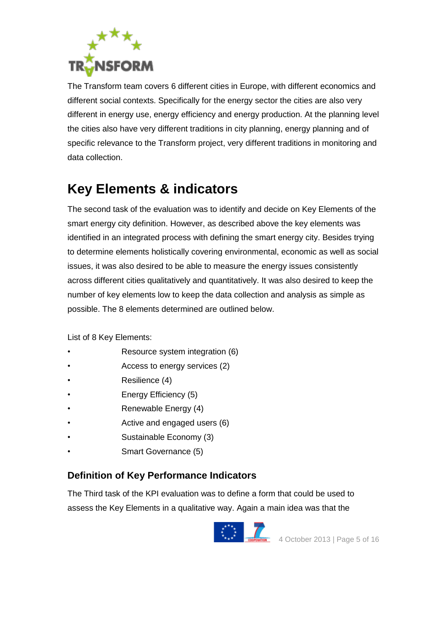

The Transform team covers 6 different cities in Europe, with different economics and different social contexts. Specifically for the energy sector the cities are also very different in energy use, energy efficiency and energy production. At the planning level the cities also have very different traditions in city planning, energy planning and of specific relevance to the Transform project, very different traditions in monitoring and data collection.

### <span id="page-4-0"></span>**Key Elements & indicators**

The second task of the evaluation was to identify and decide on Key Elements of the smart energy city definition. However, as described above the key elements was identified in an integrated process with defining the smart energy city. Besides trying to determine elements holistically covering environmental, economic as well as social issues, it was also desired to be able to measure the energy issues consistently across different cities qualitatively and quantitatively. It was also desired to keep the number of key elements low to keep the data collection and analysis as simple as possible. The 8 elements determined are outlined below.

List of 8 Key Elements:

- Resource system integration (6)
- Access to energy services (2)
- Resilience (4)
- Energy Efficiency (5)
- Renewable Energy (4)
- Active and engaged users (6)
- Sustainable Economy (3)
- Smart Governance (5)

#### <span id="page-4-1"></span>**Definition of Key Performance Indicators**

The Third task of the KPI evaluation was to define a form that could be used to assess the Key Elements in a qualitative way. Again a main idea was that the

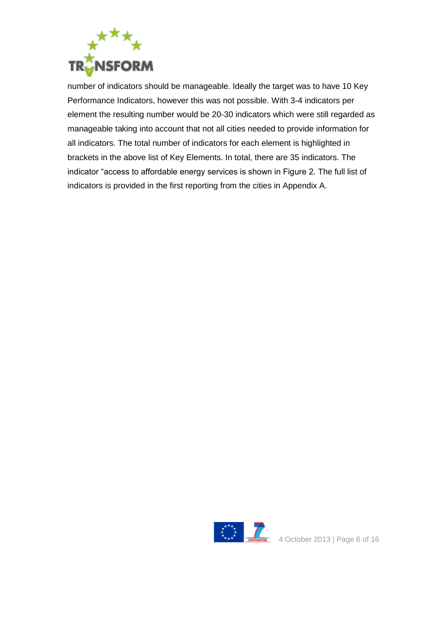

number of indicators should be manageable. Ideally the target was to have 10 Key Performance Indicators, however this was not possible. With 3-4 indicators per element the resulting number would be 20-30 indicators which were still regarded as manageable taking into account that not all cities needed to provide information for all indicators. The total number of indicators for each element is highlighted in brackets in the above list of Key Elements. In total, there are 35 indicators. The indicator "access to affordable energy services is shown in Figure 2. The full list of indicators is provided in the first reporting from the cities in Appendix A.

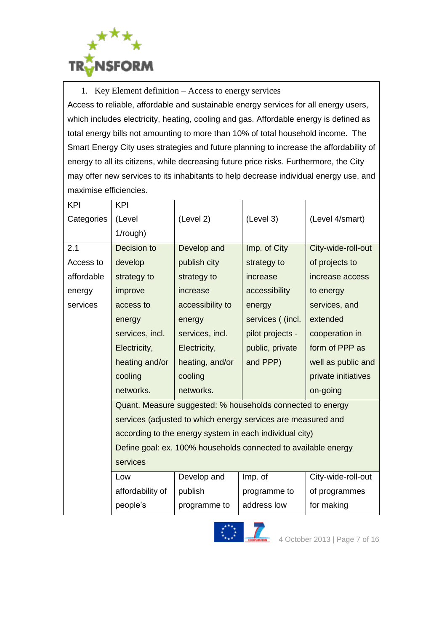

1. Key Element definition – Access to energy services Access to reliable, affordable and sustainable energy services for all energy users, which includes electricity, heating, cooling and gas. Affordable energy is defined as total energy bills not amounting to more than 10% of total household income. The Smart Energy City uses strategies and future planning to increase the affordability of energy to all its citizens, while decreasing future price risks. Furthermore, the City may offer new services to its inhabitants to help decrease individual energy use, and maximise efficiencies.

| (Level                                                         | (Level 2)        | (Level 3)        | (Level 4/smart)     |  |
|----------------------------------------------------------------|------------------|------------------|---------------------|--|
| 1/rough)                                                       |                  |                  |                     |  |
| Decision to                                                    | Develop and      | Imp. of City     | City-wide-roll-out  |  |
| develop                                                        | publish city     | strategy to      | of projects to      |  |
| strategy to                                                    | strategy to      | increase         | increase access     |  |
| improve                                                        | increase         | accessibility    | to energy           |  |
| access to                                                      | accessibility to | energy           | services, and       |  |
| energy                                                         | energy           | services ((incl. | extended            |  |
| services, incl.                                                | services, incl.  | pilot projects - | cooperation in      |  |
| Electricity,                                                   | Electricity,     | public, private  | form of PPP as      |  |
| heating and/or                                                 | heating, and/or  | and PPP)         | well as public and  |  |
| cooling                                                        | cooling          |                  | private initiatives |  |
| networks.                                                      | networks.        |                  | on-going            |  |
| Quant. Measure suggested: % households connected to energy     |                  |                  |                     |  |
| services (adjusted to which energy services are measured and   |                  |                  |                     |  |
| according to the energy system in each individual city)        |                  |                  |                     |  |
| Define goal: ex. 100% households connected to available energy |                  |                  |                     |  |
| services                                                       |                  |                  |                     |  |
| Low                                                            | Develop and      | Imp. of          | City-wide-roll-out  |  |
| affordability of                                               | publish          | programme to     | of programmes       |  |
| people's                                                       | programme to     | address low      | for making          |  |
|                                                                | <b>KPI</b>       |                  |                     |  |

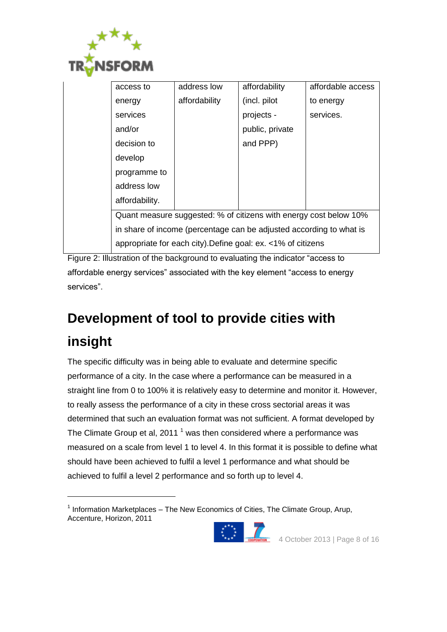

-

| access to                                                           | address low   | affordability   | affordable access |  |
|---------------------------------------------------------------------|---------------|-----------------|-------------------|--|
| energy                                                              | affordability | (incl. pilot    | to energy         |  |
| services                                                            |               | projects -      | services.         |  |
| and/or                                                              |               | public, private |                   |  |
| decision to                                                         |               | and PPP)        |                   |  |
| develop                                                             |               |                 |                   |  |
| programme to                                                        |               |                 |                   |  |
| address low                                                         |               |                 |                   |  |
| affordability.                                                      |               |                 |                   |  |
| Quant measure suggested: % of citizens with energy cost below 10%   |               |                 |                   |  |
| in share of income (percentage can be adjusted according to what is |               |                 |                   |  |
| appropriate for each city). Define goal: ex. <1% of citizens        |               |                 |                   |  |

Figure 2: Illustration of the background to evaluating the indicator "access to affordable energy services" associated with the key element "access to energy services".

# <span id="page-7-0"></span>**Development of tool to provide cities with insight**

The specific difficulty was in being able to evaluate and determine specific performance of a city. In the case where a performance can be measured in a straight line from 0 to 100% it is relatively easy to determine and monitor it. However, to really assess the performance of a city in these cross sectorial areas it was determined that such an evaluation format was not sufficient. A format developed by The Climate Group et al, 2011<sup>1</sup> was then considered where a performance was measured on a scale from level 1 to level 4. In this format it is possible to define what should have been achieved to fulfil a level 1 performance and what should be achieved to fulfil a level 2 performance and so forth up to level 4.

 $1$  Information Marketplaces – The New Economics of Cities, The Climate Group, Arup, Accenture, Horizon, 2011

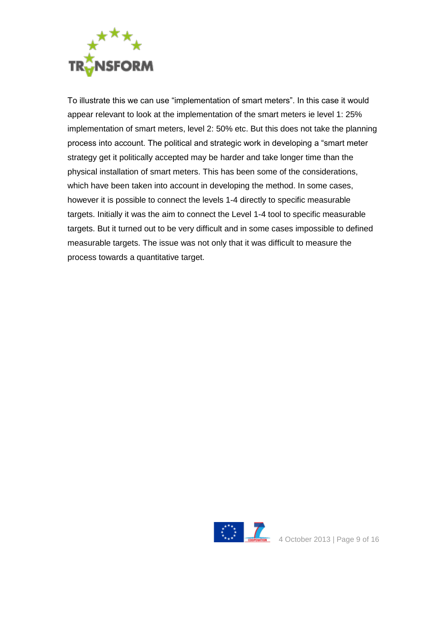

To illustrate this we can use "implementation of smart meters". In this case it would appear relevant to look at the implementation of the smart meters ie level 1: 25% implementation of smart meters, level 2: 50% etc. But this does not take the planning process into account. The political and strategic work in developing a "smart meter strategy get it politically accepted may be harder and take longer time than the physical installation of smart meters. This has been some of the considerations, which have been taken into account in developing the method. In some cases, however it is possible to connect the levels 1-4 directly to specific measurable targets. Initially it was the aim to connect the Level 1-4 tool to specific measurable targets. But it turned out to be very difficult and in some cases impossible to defined measurable targets. The issue was not only that it was difficult to measure the process towards a quantitative target.

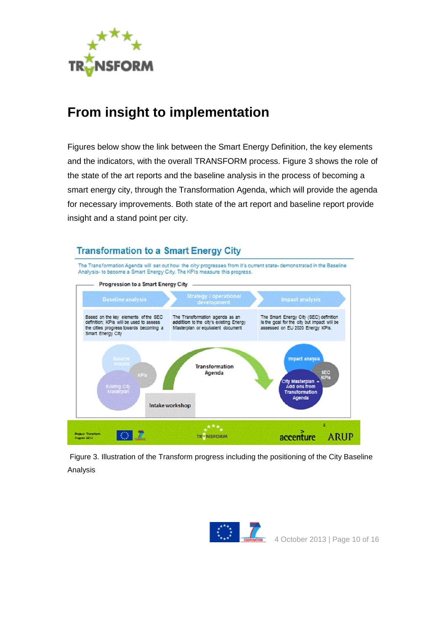

### <span id="page-9-0"></span>**From insight to implementation**

Figures below show the link between the Smart Energy Definition, the key elements and the indicators, with the overall TRANSFORM process. Figure 3 shows the role of the state of the art reports and the baseline analysis in the process of becoming a smart energy city, through the Transformation Agenda, which will provide the agenda for necessary improvements. Both state of the art report and baseline report provide insight and a stand point per city.



Figure 3. Illustration of the Transform progress including the positioning of the City Baseline Analysis

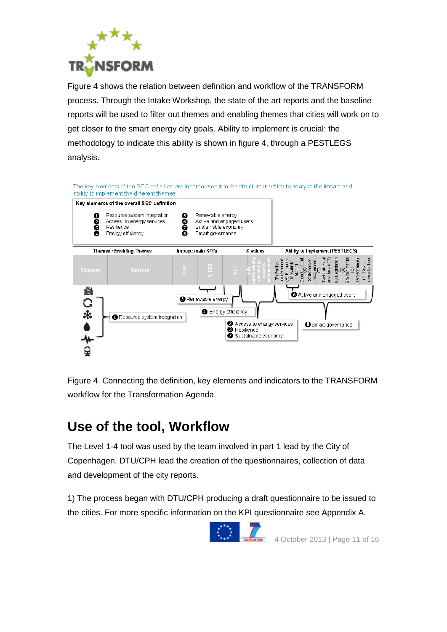

Figure 4 shows the relation between definition and workflow of the TRANSFORM process. Through the Intake Workshop, the state of the art reports and the baseline reports will be used to filter out themes and enabling themes that cities will work on to get closer to the smart energy city goals. Ability to implement is crucial: the methodology to indicate this ability is shown in figure 4, through a PESTLEGS analysis.



Figure 4. Connecting the definition, key elements and indicators to the TRANSFORM workflow for the Transformation Agenda.

## <span id="page-10-0"></span>**Use of the tool, Workflow**

The Level 1-4 tool was used by the team involved in part 1 lead by the City of Copenhagen. DTU/CPH lead the creation of the questionnaires, collection of data and development of the city reports.

1) The process began with DTU/CPH producing a draft questionnaire to be issued to the cities. For more specific information on the KPI questionnaire see Appendix A.

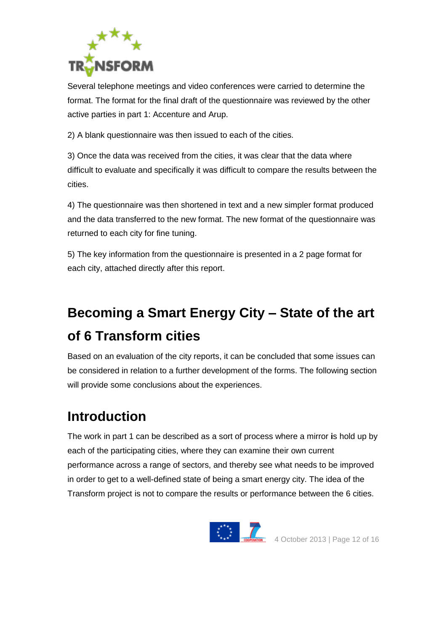

Several telephone meetings and video conferences were carried to determine the format. The format for the final draft of the questionnaire was reviewed by the other active parties in part 1: Accenture and Arup.

2) A blank questionnaire was then issued to each of the cities.

3) Once the data was received from the cities, it was clear that the data where difficult to evaluate and specifically it was difficult to compare the results between the cities.

4) The questionnaire was then shortened in text and a new simpler format produced and the data transferred to the new format. The new format of the questionnaire was returned to each city for fine tuning.

5) The key information from the questionnaire is presented in a 2 page format for each city, attached directly after this report.

# <span id="page-11-0"></span>**Becoming a Smart Energy City – State of the art of 6 Transform cities**

Based on an evaluation of the city reports, it can be concluded that some issues can be considered in relation to a further development of the forms. The following section will provide some conclusions about the experiences.

### <span id="page-11-1"></span>**Introduction**

The work in part 1 can be described as a sort of process where a mirror **i**s hold up by each of the participating cities, where they can examine their own current performance across a range of sectors, and thereby see what needs to be improved in order to get to a well-defined state of being a smart energy city. The idea of the Transform project is not to compare the results or performance between the 6 cities.

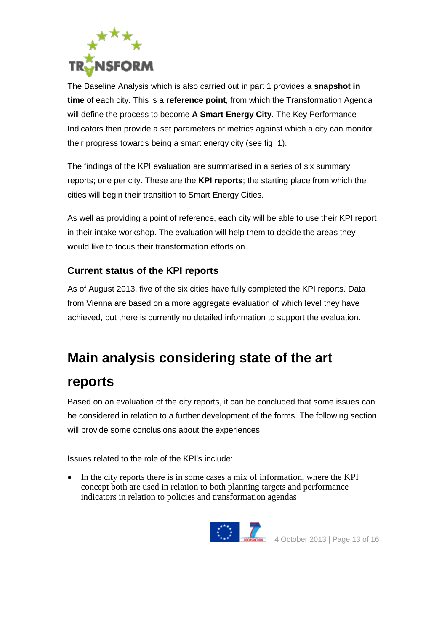

The Baseline Analysis which is also carried out in part 1 provides a **snapshot in time** of each city. This is a **reference point**, from which the Transformation Agenda will define the process to become **A Smart Energy City**. The Key Performance Indicators then provide a set parameters or metrics against which a city can monitor their progress towards being a smart energy city (see fig. 1).

The findings of the KPI evaluation are summarised in a series of six summary reports; one per city. These are the **KPI reports**; the starting place from which the cities will begin their transition to Smart Energy Cities.

As well as providing a point of reference, each city will be able to use their KPI report in their intake workshop. The evaluation will help them to decide the areas they would like to focus their transformation efforts on.

#### <span id="page-12-0"></span>**Current status of the KPI reports**

As of August 2013, five of the six cities have fully completed the KPI reports. Data from Vienna are based on a more aggregate evaluation of which level they have achieved, but there is currently no detailed information to support the evaluation.

### <span id="page-12-1"></span>**Main analysis considering state of the art**

#### **reports**

Based on an evaluation of the city reports, it can be concluded that some issues can be considered in relation to a further development of the forms. The following section will provide some conclusions about the experiences.

Issues related to the role of the KPI's include:

• In the city reports there is in some cases a mix of information, where the KPI concept both are used in relation to both planning targets and performance indicators in relation to policies and transformation agendas

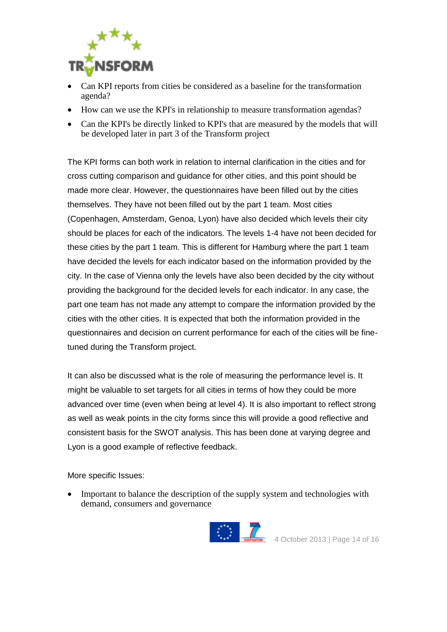

- Can KPI reports from cities be considered as a baseline for the transformation agenda?
- How can we use the KPI's in relationship to measure transformation agendas?
- Can the KPI's be directly linked to KPI's that are measured by the models that will be developed later in part 3 of the Transform project

The KPI forms can both work in relation to internal clarification in the cities and for cross cutting comparison and guidance for other cities, and this point should be made more clear. However, the questionnaires have been filled out by the cities themselves. They have not been filled out by the part 1 team. Most cities (Copenhagen, Amsterdam, Genoa, Lyon) have also decided which levels their city should be places for each of the indicators. The levels 1-4 have not been decided for these cities by the part 1 team. This is different for Hamburg where the part 1 team have decided the levels for each indicator based on the information provided by the city. In the case of Vienna only the levels have also been decided by the city without providing the background for the decided levels for each indicator. In any case, the part one team has not made any attempt to compare the information provided by the cities with the other cities. It is expected that both the information provided in the questionnaires and decision on current performance for each of the cities will be finetuned during the Transform project.

It can also be discussed what is the role of measuring the performance level is. It might be valuable to set targets for all cities in terms of how they could be more advanced over time (even when being at level 4). It is also important to reflect strong as well as weak points in the city forms since this will provide a good reflective and consistent basis for the SWOT analysis. This has been done at varying degree and Lyon is a good example of reflective feedback.

More specific Issues:

• Important to balance the description of the supply system and technologies with demand, consumers and governance

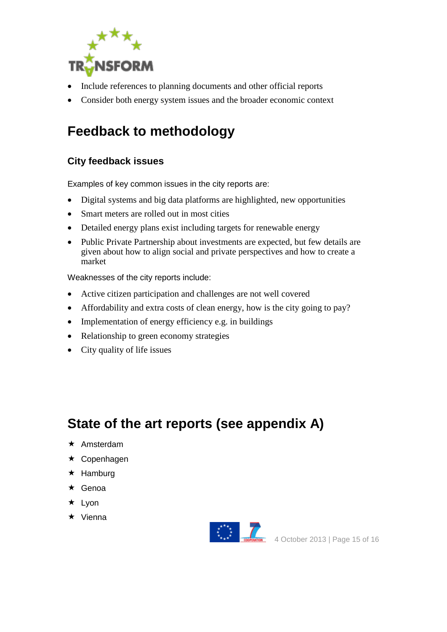

- Include references to planning documents and other official reports
- Consider both energy system issues and the broader economic context

## <span id="page-14-0"></span>**Feedback to methodology**

#### <span id="page-14-1"></span>**City feedback issues**

Examples of key common issues in the city reports are:

- Digital systems and big data platforms are highlighted, new opportunities
- Smart meters are rolled out in most cities
- Detailed energy plans exist including targets for renewable energy
- Public Private Partnership about investments are expected, but few details are given about how to align social and private perspectives and how to create a market

Weaknesses of the city reports include:

- Active citizen participation and challenges are not well covered
- Affordability and extra costs of clean energy, how is the city going to pay?
- Implementation of energy efficiency e.g. in buildings
- Relationship to green economy strategies
- City quality of life issues

### <span id="page-14-2"></span>**State of the art reports (see appendix A)**

- $\star$  Amsterdam
- **★ Copenhagen**
- $\star$  Hamburg
- **★ Genoa**
- $\star$  Lyon
- $\star$  Vienna